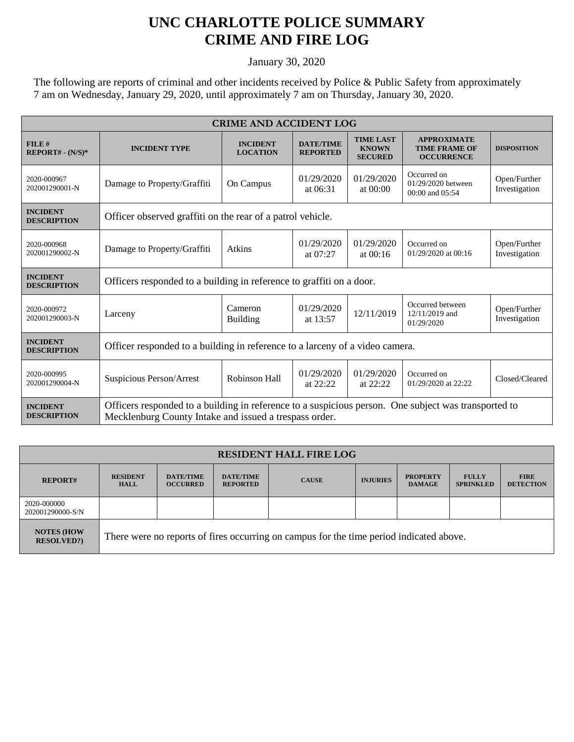## **UNC CHARLOTTE POLICE SUMMARY CRIME AND FIRE LOG**

January 30, 2020

The following are reports of criminal and other incidents received by Police & Public Safety from approximately 7 am on Wednesday, January 29, 2020, until approximately 7 am on Thursday, January 30, 2020.

| <b>CRIME AND ACCIDENT LOG</b>         |                                                                                                                                                                |                                    |                                     |                                                    |                                                                 |                               |  |
|---------------------------------------|----------------------------------------------------------------------------------------------------------------------------------------------------------------|------------------------------------|-------------------------------------|----------------------------------------------------|-----------------------------------------------------------------|-------------------------------|--|
| FILE#<br>$REPORT# - (N/S)*$           | <b>INCIDENT TYPE</b>                                                                                                                                           | <b>INCIDENT</b><br><b>LOCATION</b> | <b>DATE/TIME</b><br><b>REPORTED</b> | <b>TIME LAST</b><br><b>KNOWN</b><br><b>SECURED</b> | <b>APPROXIMATE</b><br><b>TIME FRAME OF</b><br><b>OCCURRENCE</b> | <b>DISPOSITION</b>            |  |
| 2020-000967<br>202001290001-N         | Damage to Property/Graffiti                                                                                                                                    | On Campus                          | 01/29/2020<br>at $06:31$            | 01/29/2020<br>at 00:00                             | Occurred on<br>01/29/2020 between<br>00:00 and 05:54            | Open/Further<br>Investigation |  |
| <b>INCIDENT</b><br><b>DESCRIPTION</b> | Officer observed graffiti on the rear of a patrol vehicle.                                                                                                     |                                    |                                     |                                                    |                                                                 |                               |  |
| 2020-000968<br>202001290002-N         | Damage to Property/Graffiti                                                                                                                                    | Atkins                             | 01/29/2020<br>at 07:27              | 01/29/2020<br>at $00:16$                           | Occurred on<br>01/29/2020 at 00:16                              | Open/Further<br>Investigation |  |
| <b>INCIDENT</b><br><b>DESCRIPTION</b> | Officers responded to a building in reference to graffiti on a door.                                                                                           |                                    |                                     |                                                    |                                                                 |                               |  |
| 2020-000972<br>202001290003-N         | Larceny                                                                                                                                                        | Cameron<br><b>Building</b>         | 01/29/2020<br>at 13:57              | 12/11/2019                                         | Occurred between<br>12/11/2019 and<br>01/29/2020                | Open/Further<br>Investigation |  |
| <b>INCIDENT</b><br><b>DESCRIPTION</b> | Officer responded to a building in reference to a larceny of a video camera.                                                                                   |                                    |                                     |                                                    |                                                                 |                               |  |
| 2020-000995<br>202001290004-N         | Suspicious Person/Arrest                                                                                                                                       | Robinson Hall                      | 01/29/2020<br>at $22:22$            | 01/29/2020<br>at 22:22                             | Occurred on<br>01/29/2020 at 22:22                              | Closed/Cleared                |  |
| <b>INCIDENT</b><br><b>DESCRIPTION</b> | Officers responded to a building in reference to a suspicious person. One subject was transported to<br>Mecklenburg County Intake and issued a trespass order. |                                    |                                     |                                                    |                                                                 |                               |  |

| <b>RESIDENT HALL FIRE LOG</b>         |                                                                                         |                                     |                                     |              |                 |                                  |                                  |                                 |
|---------------------------------------|-----------------------------------------------------------------------------------------|-------------------------------------|-------------------------------------|--------------|-----------------|----------------------------------|----------------------------------|---------------------------------|
| <b>REPORT#</b>                        | <b>RESIDENT</b><br><b>HALL</b>                                                          | <b>DATE/TIME</b><br><b>OCCURRED</b> | <b>DATE/TIME</b><br><b>REPORTED</b> | <b>CAUSE</b> | <b>INJURIES</b> | <b>PROPERTY</b><br><b>DAMAGE</b> | <b>FULLY</b><br><b>SPRINKLED</b> | <b>FIRE</b><br><b>DETECTION</b> |
| 2020-000000<br>202001290000-S/N       |                                                                                         |                                     |                                     |              |                 |                                  |                                  |                                 |
| <b>NOTES (HOW</b><br><b>RESOLVED?</b> | There were no reports of fires occurring on campus for the time period indicated above. |                                     |                                     |              |                 |                                  |                                  |                                 |